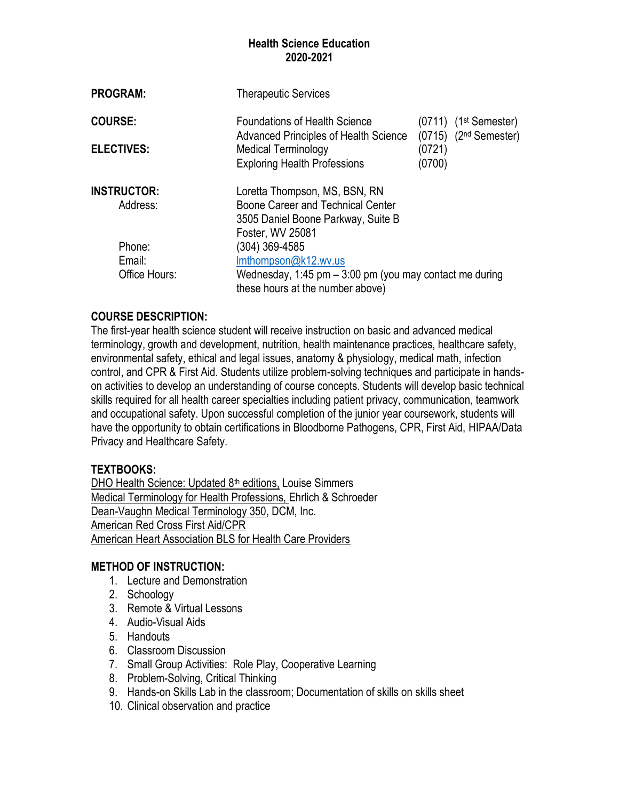| <b>PROGRAM:</b>                     |               | <b>Therapeutic Services</b>                                                                                                                        |                                                                            |  |
|-------------------------------------|---------------|----------------------------------------------------------------------------------------------------------------------------------------------------|----------------------------------------------------------------------------|--|
| <b>COURSE:</b><br><b>ELECTIVES:</b> |               | <b>Foundations of Health Science</b><br><b>Advanced Principles of Health Science</b><br>Medical Terminology<br><b>Exploring Health Professions</b> | $(0711)$ $(1st$ Semester)<br>$(0715)$ $(2nd$ Semester)<br>(0721)<br>(0700) |  |
|                                     |               |                                                                                                                                                    |                                                                            |  |
| <b>INSTRUCTOR:</b>                  |               | Loretta Thompson, MS, BSN, RN                                                                                                                      |                                                                            |  |
| Address:                            |               | Boone Career and Technical Center<br>3505 Daniel Boone Parkway, Suite B<br>Foster, WV 25081                                                        |                                                                            |  |
| Phone:                              |               | (304) 369-4585                                                                                                                                     |                                                                            |  |
| Email:                              |               | Imthompson@k12.wv.us                                                                                                                               |                                                                            |  |
|                                     | Office Hours: | Wednesday, 1:45 pm $-$ 3:00 pm (you may contact me during<br>these hours at the number above)                                                      |                                                                            |  |

### **COURSE DESCRIPTION:**

The first-year health science student will receive instruction on basic and advanced medical terminology, growth and development, nutrition, health maintenance practices, healthcare safety, environmental safety, ethical and legal issues, anatomy & physiology, medical math, infection control, and CPR & First Aid. Students utilize problem-solving techniques and participate in handson activities to develop an understanding of course concepts. Students will develop basic technical skills required for all health career specialties including patient privacy, communication, teamwork and occupational safety. Upon successful completion of the junior year coursework, students will have the opportunity to obtain certifications in Bloodborne Pathogens, CPR, First Aid, HIPAA/Data Privacy and Healthcare Safety.

#### **TEXTBOOKS:**

DHO Health Science: Updated 8<sup>th</sup> editions, Louise Simmers Medical Terminology for Health Professions, Ehrlich & Schroeder Dean-Vaughn Medical Terminology 350, DCM, Inc. American Red Cross First Aid/CPR American Heart Association BLS for Health Care Providers

#### **METHOD OF INSTRUCTION:**

- 1. Lecture and Demonstration
- 2. Schoology
- 3. Remote & Virtual Lessons
- 4. Audio-Visual Aids
- 5. Handouts
- 6. Classroom Discussion
- 7. Small Group Activities: Role Play, Cooperative Learning
- 8. Problem-Solving, Critical Thinking
- 9. Hands-on Skills Lab in the classroom; Documentation of skills on skills sheet
- 10. Clinical observation and practice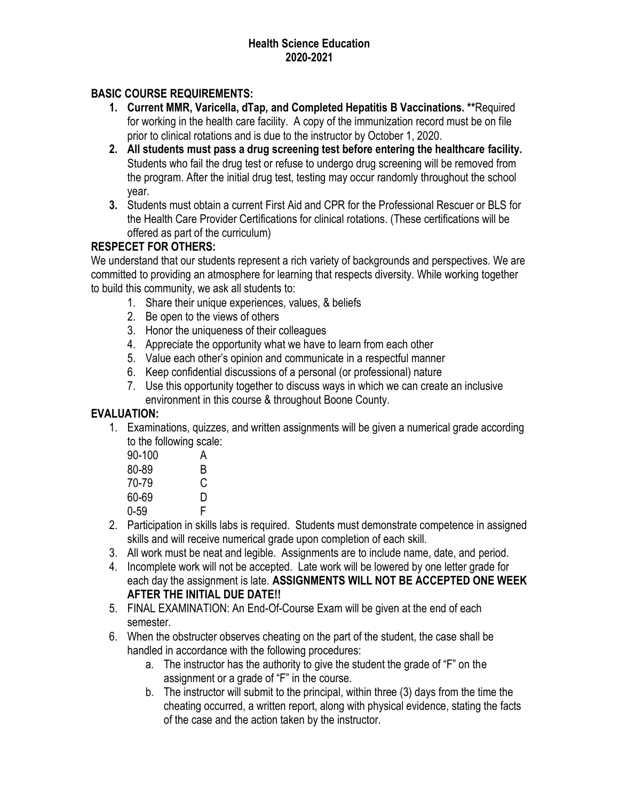## **BASIC COURSE REQUIREMENTS:**

- **1. Current MMR, Varicella, dTap, and Completed Hepatitis B Vaccinations. \*\***Required for working in the health care facility. A copy of the immunization record must be on file prior to clinical rotations and is due to the instructor by October 1, 2020.
- **2. All students must pass a drug screening test before entering the healthcare facility.** Students who fail the drug test or refuse to undergo drug screening will be removed from the program. After the initial drug test, testing may occur randomly throughout the school year.
- **3.** Students must obtain a current First Aid and CPR for the Professional Rescuer or BLS for the Health Care Provider Certifications for clinical rotations. (These certifications will be offered as part of the curriculum)

### **RESPECET FOR OTHERS:**

We understand that our students represent a rich variety of backgrounds and perspectives. We are committed to providing an atmosphere for learning that respects diversity. While working together to build this community, we ask all students to:

- 1. Share their unique experiences, values, & beliefs
- 2. Be open to the views of others
- 3. Honor the uniqueness of their colleagues
- 4. Appreciate the opportunity what we have to learn from each other
- 5. Value each other's opinion and communicate in a respectful manner
- 6. Keep confidential discussions of a personal (or professional) nature
- 7. Use this opportunity together to discuss ways in which we can create an inclusive environment in this course & throughout Boone County.

### **EVALUATION:**

1. Examinations, quizzes, and written assignments will be given a numerical grade according to the following scale:

| $90 - 100$ | А |
|------------|---|
| 80-89      | B |
| 70-79      | C |
| 60-69      | D |
| $0 - 59$   | F |
|            |   |

- 2. Participation in skills labs is required. Students must demonstrate competence in assigned skills and will receive numerical grade upon completion of each skill.
- 3. All work must be neat and legible. Assignments are to include name, date, and period.
- 4. Incomplete work will not be accepted. Late work will be lowered by one letter grade for each day the assignment is late. **ASSIGNMENTS WILL NOT BE ACCEPTED ONE WEEK AFTER THE INITIAL DUE DATE!!**
- 5. FINAL EXAMINATION: An End-Of-Course Exam will be given at the end of each semester.
- 6. When the obstructer observes cheating on the part of the student, the case shall be handled in accordance with the following procedures:
	- a. The instructor has the authority to give the student the grade of "F" on the assignment or a grade of "F" in the course.
	- b. The instructor will submit to the principal, within three (3) days from the time the cheating occurred, a written report, along with physical evidence, stating the facts of the case and the action taken by the instructor.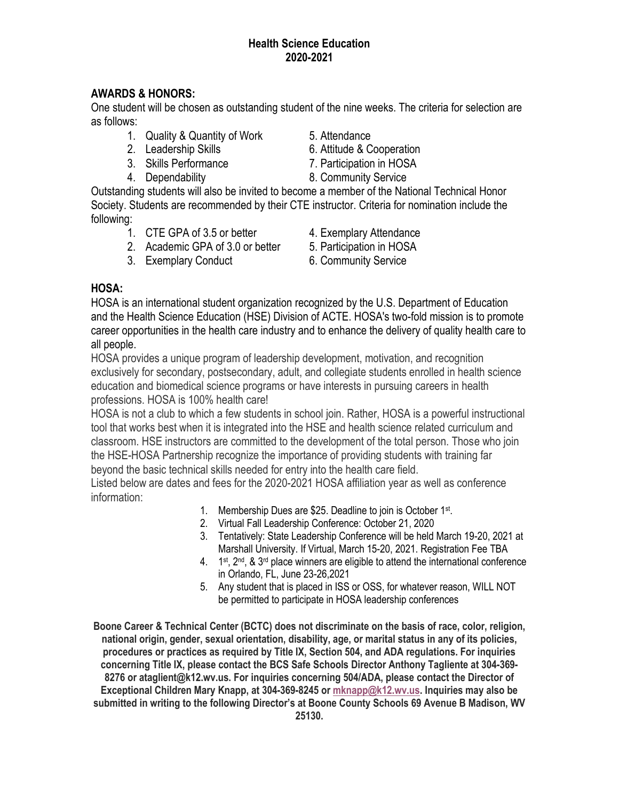## **AWARDS & HONORS:**

One student will be chosen as outstanding student of the nine weeks. The criteria for selection are as follows:

- 1. Quality & Quantity of Work 5. Attendance
- 
- 3. Skills Performance 7. Participation in HOSA
- 
- 
- 2. Leadership Skills 6. Attitude & Cooperation
	-
- 4. Dependability 8. Community Service

Outstanding students will also be invited to become a member of the National Technical Honor Society. Students are recommended by their CTE instructor. Criteria for nomination include the following:

- 1. CTE GPA of 3.5 or better 4. Exemplary Attendance
- 2. Academic GPA of 3.0 or better 5. Participation in HOSA
- 3. Exemplary Conduct 6. Community Service
- 
- 
- 

## **HOSA:**

HOSA is an international student organization recognized by the U.S. Department of Education and the Health Science Education (HSE) Division of ACTE. HOSA's two-fold mission is to promote career opportunities in the health care industry and to enhance the delivery of quality health care to all people.

HOSA provides a unique program of leadership development, motivation, and recognition exclusively for secondary, postsecondary, adult, and collegiate students enrolled in health science education and biomedical science programs or have interests in pursuing careers in health professions. HOSA is 100% health care!

HOSA is not a club to which a few students in school join. Rather, HOSA is a powerful instructional tool that works best when it is integrated into the HSE and health science related curriculum and classroom. HSE instructors are committed to the development of the total person. Those who join the HSE-HOSA Partnership recognize the importance of providing students with training far beyond the basic technical skills needed for entry into the health care field.

Listed below are dates and fees for the 2020-2021 HOSA affiliation year as well as conference information:

- 1. Membership Dues are \$25. Deadline to join is October 1<sup>st</sup>.
- 2. Virtual Fall Leadership Conference: October 21, 2020
- 3. Tentatively: State Leadership Conference will be held March 19-20, 2021 at Marshall University. If Virtual, March 15-20, 2021. Registration Fee TBA
- $4.$  1<sup>st</sup>,  $2<sup>nd</sup>$ , &  $3<sup>rd</sup>$  place winners are eligible to attend the international conference in Orlando, FL, June 23-26,2021
- 5. Any student that is placed in ISS or OSS, for whatever reason, WILL NOT be permitted to participate in HOSA leadership conferences

**Boone Career & Technical Center (BCTC) does not discriminate on the basis of race, color, religion, national origin, gender, sexual orientation, disability, age, or marital status in any of its policies, procedures or practices as required by Title IX, Section 504, and ADA regulations. For inquiries concerning Title IX, please contact the BCS Safe Schools Director Anthony Tagliente at 304-369- 8276 or ataglient@k12.wv.us. For inquiries concerning 504/ADA, please contact the Director of Exceptional Children Mary Knapp, at 304-369-8245 or [mknapp@k12.wv.us.](mailto:mknapp@k12.wv.us) Inquiries may also be submitted in writing to the following Director's at Boone County Schools 69 Avenue B Madison, WV**